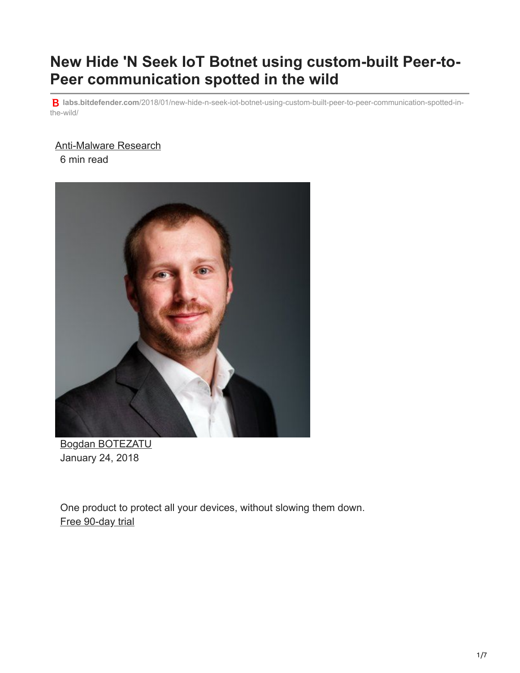# **New Hide 'N Seek IoT Botnet using custom-built Peer-to-Peer communication spotted in the wild**

**labs.bitdefender.com**[/2018/01/new-hide-n-seek-iot-botnet-using-custom-built-peer-to-peer-communication-spotted-in](https://labs.bitdefender.com/2018/01/new-hide-n-seek-iot-botnet-using-custom-built-peer-to-peer-communication-spotted-in-the-wild/)the-wild/

#### [Anti-Malware Research](http://10.10.0.46/blog/labs/tag/antimalware-research/)

6 min read



[Bogdan BOTEZATU](http://10.10.0.46/blog/labs/author/bbotezatu/) January 24, 2018

One product to protect all your devices, without slowing them down. [Free 90-day trial](http://10.10.0.46/media/html/consumer/new/get-your-90-day-trial-opt/index.html)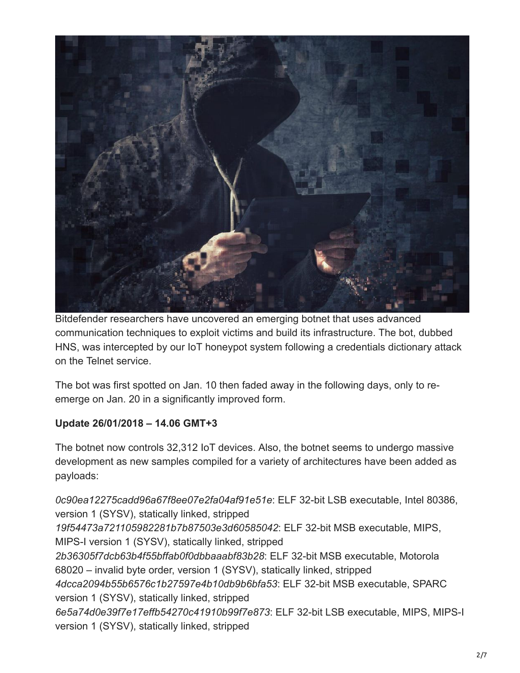

Bitdefender researchers have uncovered an emerging botnet that uses advanced communication techniques to exploit victims and build its infrastructure. The bot, dubbed HNS, was intercepted by our IoT honeypot system following a credentials dictionary attack on the Telnet service.

The bot was first spotted on Jan. 10 then faded away in the following days, only to reemerge on Jan. 20 in a significantly improved form.

#### **Update 26/01/2018 – 14.06 GMT+3**

The botnet now controls 32,312 IoT devices. Also, the botnet seems to undergo massive development as new samples compiled for a variety of architectures have been added as payloads:

*0c90ea12275cadd96a67f8ee07e2fa04af91e51e*: ELF 32-bit LSB executable, Intel 80386, version 1 (SYSV), statically linked, stripped *19f54473a721105982281b7b87503e3d60585042*: ELF 32-bit MSB executable, MIPS, MIPS-I version 1 (SYSV), statically linked, stripped *2b36305f7dcb63b4f55bffab0f0dbbaaabf83b28*: ELF 32-bit MSB executable, Motorola 68020 – invalid byte order, version 1 (SYSV), statically linked, stripped *4dcca2094b55b6576c1b27597e4b10db9b6bfa53*: ELF 32-bit MSB executable, SPARC version 1 (SYSV), statically linked, stripped *6e5a74d0e39f7e17effb54270c41910b99f7e873*: ELF 32-bit LSB executable, MIPS, MIPS-I version 1 (SYSV), statically linked, stripped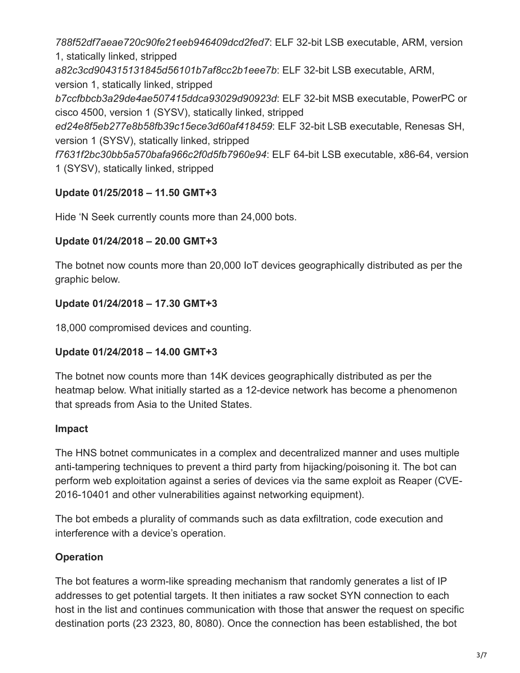*788f52df7aeae720c90fe21eeb946409dcd2fed7*: ELF 32-bit LSB executable, ARM, version 1, statically linked, stripped

*a82c3cd904315131845d56101b7af8cc2b1eee7b*: ELF 32-bit LSB executable, ARM,

version 1, statically linked, stripped

*b7ccfbbcb3a29de4ae507415ddca93029d90923d*: ELF 32-bit MSB executable, PowerPC or cisco 4500, version 1 (SYSV), statically linked, stripped

*ed24e8f5eb277e8b58fb39c15ece3d60af418459*: ELF 32-bit LSB executable, Renesas SH, version 1 (SYSV), statically linked, stripped

*f7631f2bc30bb5a570bafa966c2f0d5fb7960e94*: ELF 64-bit LSB executable, x86-64, version 1 (SYSV), statically linked, stripped

## **Update 01/25/2018 – 11.50 GMT+3**

Hide 'N Seek currently counts more than 24,000 bots.

#### **Update 01/24/2018 – 20.00 GMT+3**

The botnet now counts more than 20,000 IoT devices geographically distributed as per the graphic below.

## **Update 01/24/2018 – 17.30 GMT+3**

18,000 compromised devices and counting.

## **Update 01/24/2018 – 14.00 GMT+3**

The botnet now counts more than 14K devices geographically distributed as per the heatmap below. What initially started as a 12-device network has become a phenomenon that spreads from Asia to the United States.

#### **Impact**

The HNS botnet communicates in a complex and decentralized manner and uses multiple anti-tampering techniques to prevent a third party from hijacking/poisoning it. The bot can perform web exploitation against a series of devices via the same exploit as Reaper (CVE-2016-10401 and other vulnerabilities against networking equipment).

The bot embeds a plurality of commands such as data exfiltration, code execution and interference with a device's operation.

## **Operation**

The bot features a worm-like spreading mechanism that randomly generates a list of IP addresses to get potential targets. It then initiates a raw socket SYN connection to each host in the list and continues communication with those that answer the request on specific destination ports (23 2323, 80, 8080). Once the connection has been established, the bot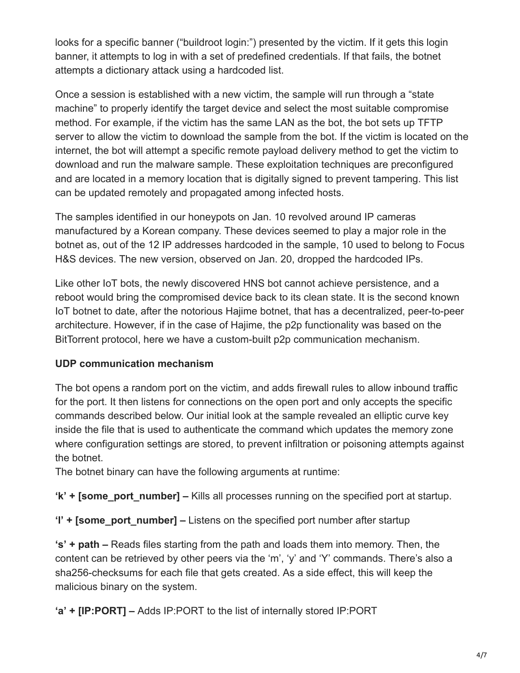looks for a specific banner ("buildroot login:") presented by the victim. If it gets this login banner, it attempts to log in with a set of predefined credentials. If that fails, the botnet attempts a dictionary attack using a hardcoded list.

Once a session is established with a new victim, the sample will run through a "state machine" to properly identify the target device and select the most suitable compromise method. For example, if the victim has the same LAN as the bot, the bot sets up TFTP server to allow the victim to download the sample from the bot. If the victim is located on the internet, the bot will attempt a specific remote payload delivery method to get the victim to download and run the malware sample. These exploitation techniques are preconfigured and are located in a memory location that is digitally signed to prevent tampering. This list can be updated remotely and propagated among infected hosts.

The samples identified in our honeypots on Jan. 10 revolved around IP cameras manufactured by a Korean company. These devices seemed to play a major role in the botnet as, out of the 12 IP addresses hardcoded in the sample, 10 used to belong to Focus H&S devices. The new version, observed on Jan. 20, dropped the hardcoded IPs.

Like other IoT bots, the newly discovered HNS bot cannot achieve persistence, and a reboot would bring the compromised device back to its clean state. It is the second known IoT botnet to date, after the notorious Hajime botnet, that has a decentralized, peer-to-peer architecture. However, if in the case of Hajime, the p2p functionality was based on the BitTorrent protocol, here we have a custom-built p2p communication mechanism.

#### **UDP communication mechanism**

The bot opens a random port on the victim, and adds firewall rules to allow inbound traffic for the port. It then listens for connections on the open port and only accepts the specific commands described below. Our initial look at the sample revealed an elliptic curve key inside the file that is used to authenticate the command which updates the memory zone where configuration settings are stored, to prevent infiltration or poisoning attempts against the botnet.

The botnet binary can have the following arguments at runtime:

**'k' + [some\_port\_number] –** Kills all processes running on the specified port at startup.

**'l' + [some\_port\_number] –** Listens on the specified port number after startup

**'s' + path –** Reads files starting from the path and loads them into memory. Then, the content can be retrieved by other peers via the 'm', 'y' and 'Y' commands. There's also a sha256-checksums for each file that gets created. As a side effect, this will keep the malicious binary on the system.

**'a' + [IP:PORT] –** Adds IP:PORT to the list of internally stored IP:PORT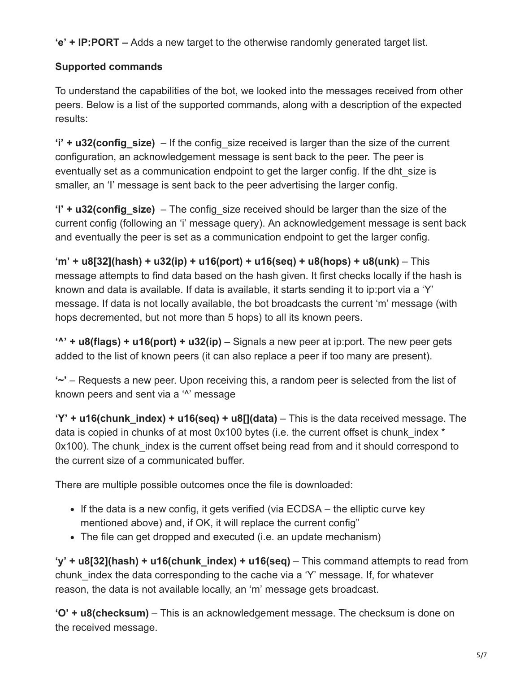**'e' + IP:PORT –** Adds a new target to the otherwise randomly generated target list.

## **Supported commands**

To understand the capabilities of the bot, we looked into the messages received from other peers. Below is a list of the supported commands, along with a description of the expected results:

**'i' + u32(config\_size)** – If the config\_size received is larger than the size of the current configuration, an acknowledgement message is sent back to the peer. The peer is eventually set as a communication endpoint to get the larger config. If the dht\_size is smaller, an 'I' message is sent back to the peer advertising the larger config.

**'I' + u32(config\_size)** – The config size received should be larger than the size of the current config (following an 'i' message query). An acknowledgement message is sent back and eventually the peer is set as a communication endpoint to get the larger config.

**'m' + u8[32](hash) + u32(ip) + u16(port) + u16(seq) + u8(hops) + u8(unk)** – This message attempts to find data based on the hash given. It first checks locally if the hash is known and data is available. If data is available, it starts sending it to ip:port via a 'Y' message. If data is not locally available, the bot broadcasts the current 'm' message (with hops decremented, but not more than 5 hops) to all its known peers.

**'^' + u8(flags) + u16(port) + u32(ip)** – Signals a new peer at ip:port. The new peer gets added to the list of known peers (it can also replace a peer if too many are present).

**'~'** – Requests a new peer. Upon receiving this, a random peer is selected from the list of known peers and sent via a '<sup>^</sup>' message

**'Y' + u16(chunk\_index) + u16(seq) + u8[](data)** – This is the data received message. The data is copied in chunks of at most 0x100 bytes (i.e. the current offset is chunk index \* 0x100). The chunk index is the current offset being read from and it should correspond to the current size of a communicated buffer.

There are multiple possible outcomes once the file is downloaded:

- If the data is a new config, it gets verified (via  $ECDSA -$  the elliptic curve key mentioned above) and, if OK, it will replace the current config"
- The file can get dropped and executed (i.e. an update mechanism)

**'y' + u8[32](hash) + u16(chunk\_index) + u16(seq)** – This command attempts to read from chunk\_index the data corresponding to the cache via a 'Y' message. If, for whatever reason, the data is not available locally, an 'm' message gets broadcast.

**'O' + u8(checksum)** – This is an acknowledgement message. The checksum is done on the received message.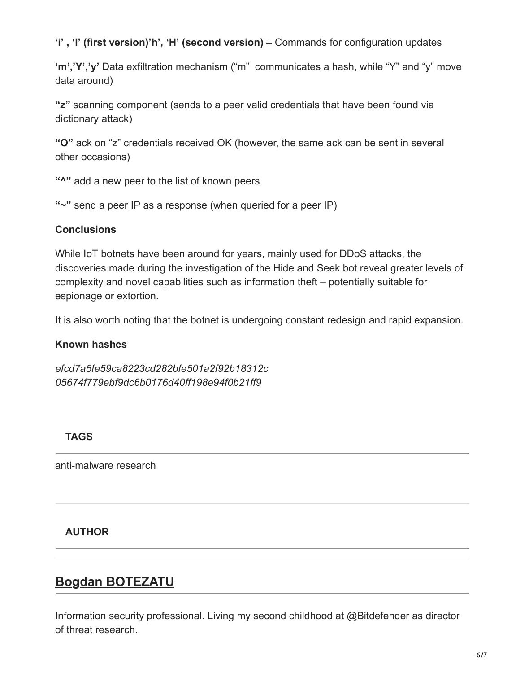#### **'i' , 'I' (first version)'h', 'H' (second version)** – Commands for configuration updates

**'m','Y','y'** Data exfiltration mechanism ("m" communicates a hash, while "Y" and "y" move data around)

**"z"** scanning component (sends to a peer valid credentials that have been found via dictionary attack)

**"O"** ack on "z" credentials received OK (however, the same ack can be sent in several other occasions)

**"^"** add a new peer to the list of known peers

**"~"** send a peer IP as a response (when queried for a peer IP)

#### **Conclusions**

While IoT botnets have been around for years, mainly used for DDoS attacks, the discoveries made during the investigation of the Hide and Seek bot reveal greater levels of complexity and novel capabilities such as information theft – potentially suitable for espionage or extortion.

It is also worth noting that the botnet is undergoing constant redesign and rapid expansion.

#### **Known hashes**

*efcd7a5fe59ca8223cd282bfe501a2f92b18312c 05674f779ebf9dc6b0176d40ff198e94f0b21ff9*

#### **TAGS**

[anti-malware research](http://10.10.0.46/blog/labs/tag/antimalware-research/)

#### **AUTHOR**

## **[Bogdan BOTEZATU](http://10.10.0.46/blog/labs/author/bbotezatu/)**

[Information security professional. Living my second childh](http://10.10.0.46/blog/labs/author/bbotezatu/)ood at @Bitdefender as director of threat research.